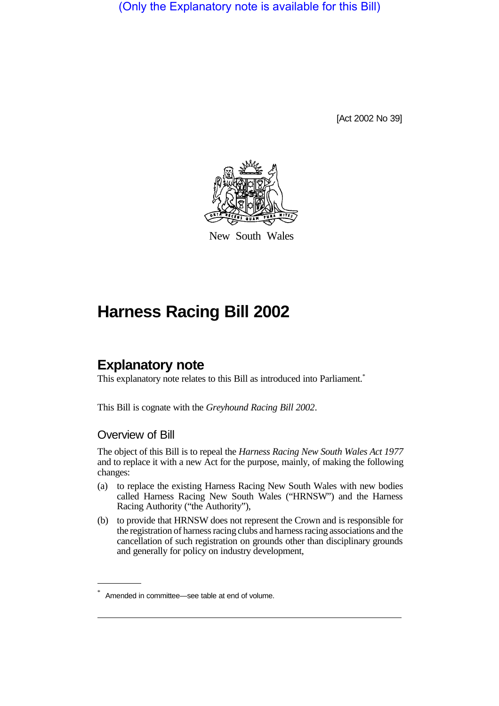(Only the Explanatory note is available for this Bill)

[Act 2002 No 39]



New South Wales

# **Harness Racing Bill 2002**

# **Explanatory note**

This explanatory note relates to this Bill as introduced into Parliament.<sup>\*</sup>

This Bill is cognate with the *Greyhound Racing Bill 2002*.

#### Overview of Bill

The object of this Bill is to repeal the *Harness Racing New South Wales Act 1977* and to replace it with a new Act for the purpose, mainly, of making the following changes:

- (a) to replace the existing Harness Racing New South Wales with new bodies called Harness Racing New South Wales ("HRNSW") and the Harness Racing Authority ("the Authority"),
- (b) to provide that HRNSW does not represent the Crown and is responsible for the registration of harness racing clubs and harness racing associations and the cancellation of such registration on grounds other than disciplinary grounds and generally for policy on industry development,

Amended in committee—see table at end of volume.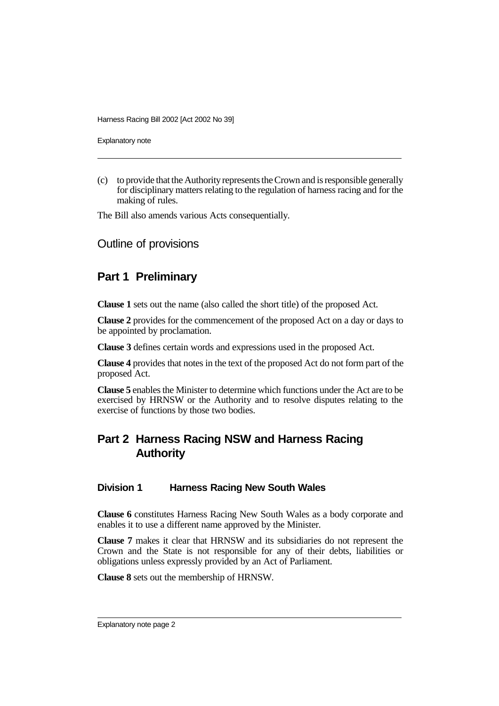Explanatory note

(c) to provide that the Authority represents the Crown and is responsible generally for disciplinary matters relating to the regulation of harness racing and for the making of rules.

The Bill also amends various Acts consequentially.

Outline of provisions

### **Part 1 Preliminary**

**Clause 1** sets out the name (also called the short title) of the proposed Act.

**Clause 2** provides for the commencement of the proposed Act on a day or days to be appointed by proclamation.

**Clause 3** defines certain words and expressions used in the proposed Act.

**Clause 4** provides that notes in the text of the proposed Act do not form part of the proposed Act.

**Clause 5** enables the Minister to determine which functions under the Act are to be exercised by HRNSW or the Authority and to resolve disputes relating to the exercise of functions by those two bodies.

# **Part 2 Harness Racing NSW and Harness Racing Authority**

#### **Division 1 Harness Racing New South Wales**

**Clause 6** constitutes Harness Racing New South Wales as a body corporate and enables it to use a different name approved by the Minister.

**Clause 7** makes it clear that HRNSW and its subsidiaries do not represent the Crown and the State is not responsible for any of their debts, liabilities or obligations unless expressly provided by an Act of Parliament.

**Clause 8** sets out the membership of HRNSW.

Explanatory note page 2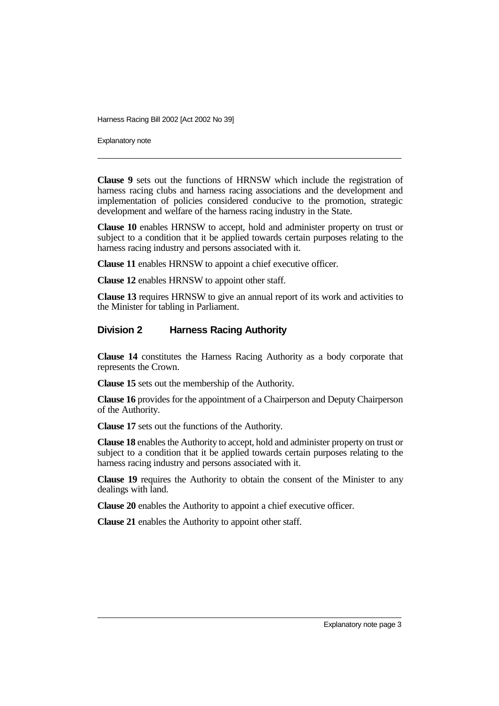Explanatory note

**Clause 9** sets out the functions of HRNSW which include the registration of harness racing clubs and harness racing associations and the development and implementation of policies considered conducive to the promotion, strategic development and welfare of the harness racing industry in the State.

**Clause 10** enables HRNSW to accept, hold and administer property on trust or subject to a condition that it be applied towards certain purposes relating to the harness racing industry and persons associated with it.

**Clause 11** enables HRNSW to appoint a chief executive officer.

**Clause 12** enables HRNSW to appoint other staff.

**Clause 13** requires HRNSW to give an annual report of its work and activities to the Minister for tabling in Parliament.

#### **Division 2 Harness Racing Authority**

**Clause 14** constitutes the Harness Racing Authority as a body corporate that represents the Crown.

**Clause 15** sets out the membership of the Authority.

**Clause 16** provides for the appointment of a Chairperson and Deputy Chairperson of the Authority.

**Clause 17** sets out the functions of the Authority.

**Clause 18** enables the Authority to accept, hold and administer property on trust or subject to a condition that it be applied towards certain purposes relating to the harness racing industry and persons associated with it.

**Clause 19** requires the Authority to obtain the consent of the Minister to any dealings with land.

**Clause 20** enables the Authority to appoint a chief executive officer.

**Clause 21** enables the Authority to appoint other staff.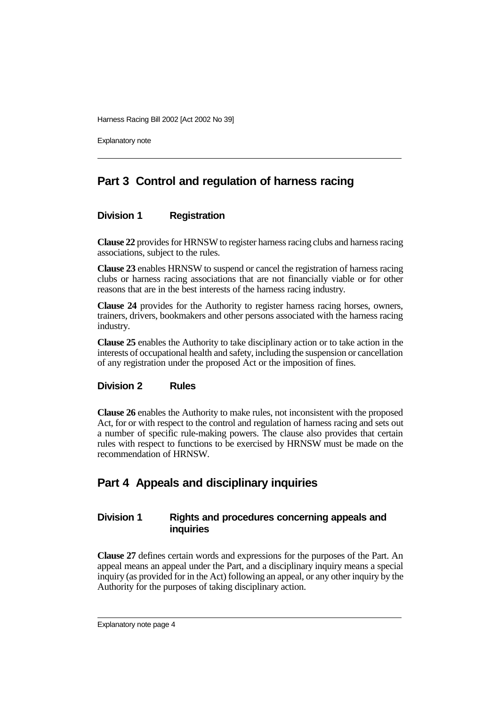Explanatory note

## **Part 3 Control and regulation of harness racing**

#### **Division 1 Registration**

**Clause 22** provides for HRNSW to register harness racing clubs and harness racing associations, subject to the rules.

**Clause 23** enables HRNSW to suspend or cancel the registration of harness racing clubs or harness racing associations that are not financially viable or for other reasons that are in the best interests of the harness racing industry.

**Clause 24** provides for the Authority to register harness racing horses, owners, trainers, drivers, bookmakers and other persons associated with the harness racing industry.

**Clause 25** enables the Authority to take disciplinary action or to take action in the interests of occupational health and safety, including the suspension or cancellation of any registration under the proposed Act or the imposition of fines.

#### **Division 2 Rules**

**Clause 26** enables the Authority to make rules, not inconsistent with the proposed Act, for or with respect to the control and regulation of harness racing and sets out a number of specific rule-making powers. The clause also provides that certain rules with respect to functions to be exercised by HRNSW must be made on the recommendation of HRNSW.

### **Part 4 Appeals and disciplinary inquiries**

#### **Division 1 Rights and procedures concerning appeals and inquiries**

**Clause 27** defines certain words and expressions for the purposes of the Part. An appeal means an appeal under the Part, and a disciplinary inquiry means a special inquiry (as provided for in the Act) following an appeal, or any other inquiry by the Authority for the purposes of taking disciplinary action.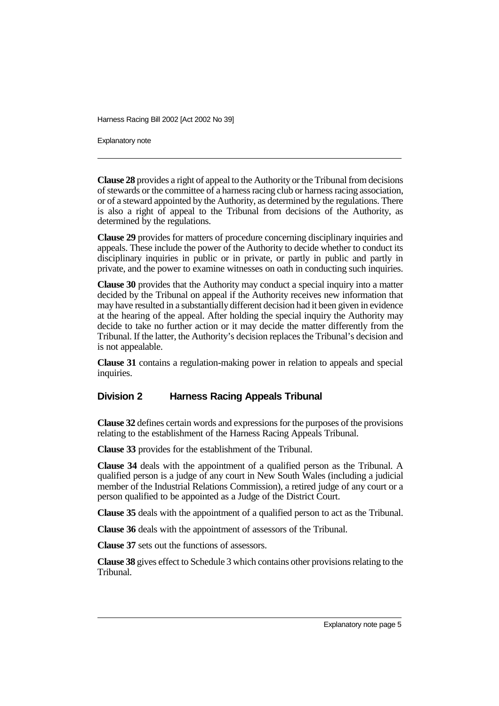Explanatory note

**Clause 28** provides a right of appeal to the Authority or the Tribunal from decisions of stewards or the committee of a harness racing club or harness racing association, or of a steward appointed by the Authority, as determined by the regulations. There is also a right of appeal to the Tribunal from decisions of the Authority, as determined by the regulations.

**Clause 29** provides for matters of procedure concerning disciplinary inquiries and appeals. These include the power of the Authority to decide whether to conduct its disciplinary inquiries in public or in private, or partly in public and partly in private, and the power to examine witnesses on oath in conducting such inquiries.

**Clause 30** provides that the Authority may conduct a special inquiry into a matter decided by the Tribunal on appeal if the Authority receives new information that may have resulted in a substantially different decision had it been given in evidence at the hearing of the appeal. After holding the special inquiry the Authority may decide to take no further action or it may decide the matter differently from the Tribunal. If the latter, the Authority's decision replaces the Tribunal's decision and is not appealable.

**Clause 31** contains a regulation-making power in relation to appeals and special inquiries.

#### **Division 2 Harness Racing Appeals Tribunal**

**Clause 32** defines certain words and expressions for the purposes of the provisions relating to the establishment of the Harness Racing Appeals Tribunal.

**Clause 33** provides for the establishment of the Tribunal.

**Clause 34** deals with the appointment of a qualified person as the Tribunal. A qualified person is a judge of any court in New South Wales (including a judicial member of the Industrial Relations Commission), a retired judge of any court or a person qualified to be appointed as a Judge of the District Court.

**Clause 35** deals with the appointment of a qualified person to act as the Tribunal.

**Clause 36** deals with the appointment of assessors of the Tribunal.

**Clause 37** sets out the functions of assessors.

**Clause 38** gives effect to Schedule 3 which contains other provisions relating to the Tribunal.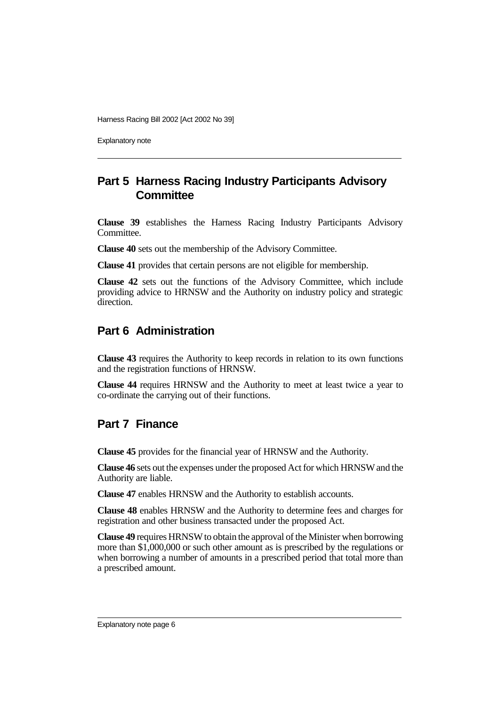Explanatory note

## **Part 5 Harness Racing Industry Participants Advisory Committee**

**Clause 39** establishes the Harness Racing Industry Participants Advisory Committee.

**Clause 40** sets out the membership of the Advisory Committee.

**Clause 41** provides that certain persons are not eligible for membership.

**Clause 42** sets out the functions of the Advisory Committee, which include providing advice to HRNSW and the Authority on industry policy and strategic direction.

### **Part 6 Administration**

**Clause 43** requires the Authority to keep records in relation to its own functions and the registration functions of HRNSW.

**Clause 44** requires HRNSW and the Authority to meet at least twice a year to co-ordinate the carrying out of their functions.

### **Part 7 Finance**

**Clause 45** provides for the financial year of HRNSW and the Authority.

**Clause 46** sets out the expenses under the proposed Act for which HRNSW and the Authority are liable.

**Clause 47** enables HRNSW and the Authority to establish accounts.

**Clause 48** enables HRNSW and the Authority to determine fees and charges for registration and other business transacted under the proposed Act.

**Clause 49** requires HRNSW to obtain the approval of the Minister when borrowing more than \$1,000,000 or such other amount as is prescribed by the regulations or when borrowing a number of amounts in a prescribed period that total more than a prescribed amount.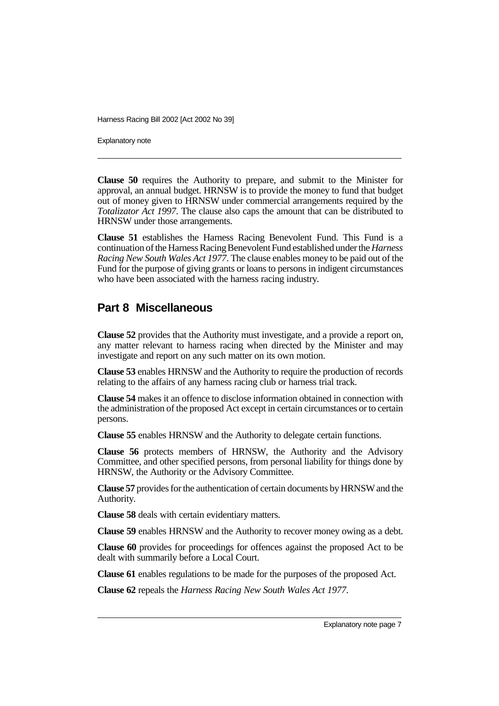Explanatory note

**Clause 50** requires the Authority to prepare, and submit to the Minister for approval, an annual budget. HRNSW is to provide the money to fund that budget out of money given to HRNSW under commercial arrangements required by the *Totalizator Act 1997*. The clause also caps the amount that can be distributed to HRNSW under those arrangements.

**Clause 51** establishes the Harness Racing Benevolent Fund. This Fund is a continuation of the Harness RacingBenevolent Fund established under the*Harness Racing New South Wales Act 1977*. The clause enables money to be paid out of the Fund for the purpose of giving grants or loans to persons in indigent circumstances who have been associated with the harness racing industry.

### **Part 8 Miscellaneous**

**Clause 52** provides that the Authority must investigate, and a provide a report on, any matter relevant to harness racing when directed by the Minister and may investigate and report on any such matter on its own motion.

**Clause 53** enables HRNSW and the Authority to require the production of records relating to the affairs of any harness racing club or harness trial track.

**Clause 54** makes it an offence to disclose information obtained in connection with the administration of the proposed Act except in certain circumstances or to certain persons.

**Clause 55** enables HRNSW and the Authority to delegate certain functions.

**Clause 56** protects members of HRNSW, the Authority and the Advisory Committee, and other specified persons, from personal liability for things done by HRNSW, the Authority or the Advisory Committee.

**Clause 57** provides for the authentication of certain documents by HRNSW and the Authority.

**Clause 58** deals with certain evidentiary matters.

**Clause 59** enables HRNSW and the Authority to recover money owing as a debt.

**Clause 60** provides for proceedings for offences against the proposed Act to be dealt with summarily before a Local Court.

**Clause 61** enables regulations to be made for the purposes of the proposed Act.

**Clause 62** repeals the *Harness Racing New South Wales Act 1977*.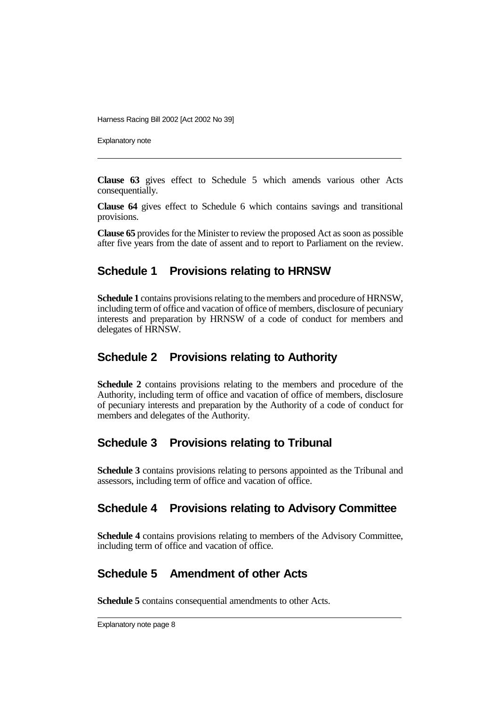Explanatory note

**Clause 63** gives effect to Schedule 5 which amends various other Acts consequentially.

**Clause 64** gives effect to Schedule 6 which contains savings and transitional provisions.

**Clause 65** provides for the Minister to review the proposed Act as soon as possible after five years from the date of assent and to report to Parliament on the review.

### **Schedule 1 Provisions relating to HRNSW**

**Schedule 1** contains provisions relating to the members and procedure of HRNSW, including term of office and vacation of office of members, disclosure of pecuniary interests and preparation by HRNSW of a code of conduct for members and delegates of HRNSW.

### **Schedule 2 Provisions relating to Authority**

**Schedule 2** contains provisions relating to the members and procedure of the Authority, including term of office and vacation of office of members, disclosure of pecuniary interests and preparation by the Authority of a code of conduct for members and delegates of the Authority.

### **Schedule 3 Provisions relating to Tribunal**

**Schedule 3** contains provisions relating to persons appointed as the Tribunal and assessors, including term of office and vacation of office.

### **Schedule 4 Provisions relating to Advisory Committee**

**Schedule 4** contains provisions relating to members of the Advisory Committee, including term of office and vacation of office.

# **Schedule 5 Amendment of other Acts**

**Schedule 5** contains consequential amendments to other Acts.

Explanatory note page 8